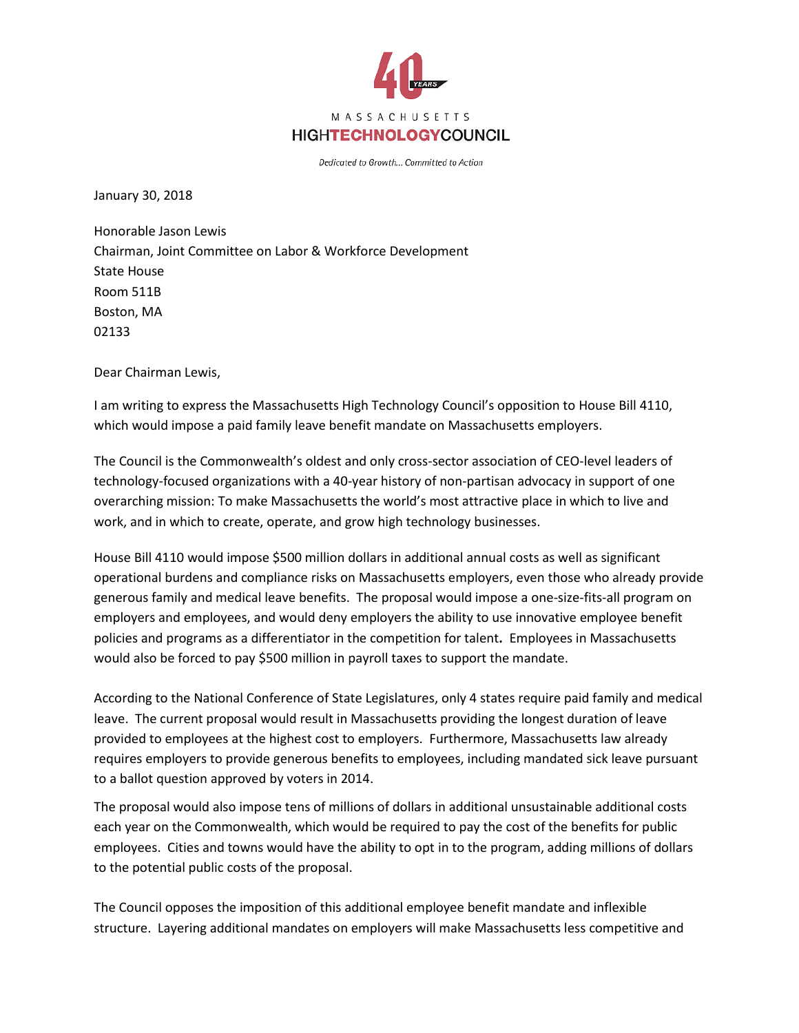

Dedicated to Growth... Committed to Action

January 30, 2018

Honorable Jason Lewis Chairman, Joint Committee on Labor & Workforce Development State House Room 511B Boston, MA 02133

Dear Chairman Lewis,

I am writing to express the Massachusetts High Technology Council's opposition to House Bill 4110, which would impose a paid family leave benefit mandate on Massachusetts employers.

The Council is the Commonwealth's oldest and only cross-sector association of CEO-level leaders of technology-focused organizations with a 40-year history of non-partisan advocacy in support of one overarching mission: To make Massachusetts the world's most attractive place in which to live and work, and in which to create, operate, and grow high technology businesses.

House Bill 4110 would impose \$500 million dollars in additional annual costs as well as significant operational burdens and compliance risks on Massachusetts employers, even those who already provide generous family and medical leave benefits. The proposal would impose a one-size-fits-all program on employers and employees, and would deny employers the ability to use innovative employee benefit policies and programs as a differentiator in the competition for talent**.** Employees in Massachusetts would also be forced to pay \$500 million in payroll taxes to support the mandate.

According to the National Conference of State Legislatures, only 4 states require paid family and medical leave. The current proposal would result in Massachusetts providing the longest duration of leave provided to employees at the highest cost to employers. Furthermore, Massachusetts law already requires employers to provide generous benefits to employees, including mandated sick leave pursuant to a ballot question approved by voters in 2014.

The proposal would also impose tens of millions of dollars in additional unsustainable additional costs each year on the Commonwealth, which would be required to pay the cost of the benefits for public employees. Cities and towns would have the ability to opt in to the program, adding millions of dollars to the potential public costs of the proposal.

The Council opposes the imposition of this additional employee benefit mandate and inflexible structure. Layering additional mandates on employers will make Massachusetts less competitive and